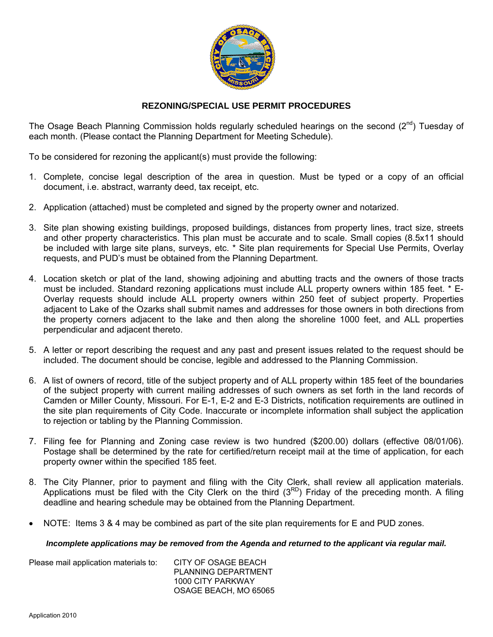

## **REZONING/SPECIAL USE PERMIT PROCEDURES**

The Osage Beach Planning Commission holds regularly scheduled hearings on the second (2<sup>nd</sup>) Tuesday of each month. (Please contact the Planning Department for Meeting Schedule).

To be considered for rezoning the applicant(s) must provide the following:

- 1. Complete, concise legal description of the area in question. Must be typed or a copy of an official document, i.e. abstract, warranty deed, tax receipt, etc.
- 2. Application (attached) must be completed and signed by the property owner and notarized.
- 3. Site plan showing existing buildings, proposed buildings, distances from property lines, tract size, streets and other property characteristics. This plan must be accurate and to scale. Small copies (8.5x11 should be included with large site plans, surveys, etc. \* Site plan requirements for Special Use Permits, Overlay requests, and PUD's must be obtained from the Planning Department.
- 4. Location sketch or plat of the land, showing adjoining and abutting tracts and the owners of those tracts must be included. Standard rezoning applications must include ALL property owners within 185 feet. \* E-Overlay requests should include ALL property owners within 250 feet of subject property. Properties adjacent to Lake of the Ozarks shall submit names and addresses for those owners in both directions from the property corners adjacent to the lake and then along the shoreline 1000 feet, and ALL properties perpendicular and adjacent thereto.
- 5. A letter or report describing the request and any past and present issues related to the request should be included. The document should be concise, legible and addressed to the Planning Commission.
- 6. A list of owners of record, title of the subject property and of ALL property within 185 feet of the boundaries of the subject property with current mailing addresses of such owners as set forth in the land records of Camden or Miller County, Missouri. For E-1, E-2 and E-3 Districts, notification requirements are outlined in the site plan requirements of City Code. Inaccurate or incomplete information shall subject the application to rejection or tabling by the Planning Commission.
- 7. Filing fee for Planning and Zoning case review is two hundred (\$200.00) dollars (effective 08/01/06). Postage shall be determined by the rate for certified/return receipt mail at the time of application, for each property owner within the specified 185 feet.
- 8. The City Planner, prior to payment and filing with the City Clerk, shall review all application materials. Applications must be filed with the City Clerk on the third  $(3^{RD})$  Friday of the preceding month. A filing deadline and hearing schedule may be obtained from the Planning Department.
- NOTE: Items 3 & 4 may be combined as part of the site plan requirements for E and PUD zones.

### *Incomplete applications may be removed from the Agenda and returned to the applicant via regular mail.*

| Please mail application materials to: | CITY OF OSAGE BEACH   |
|---------------------------------------|-----------------------|
|                                       | PLANNING DEPARTMENT   |
|                                       | 1000 CITY PARKWAY     |
|                                       | OSAGE BEACH, MO 65065 |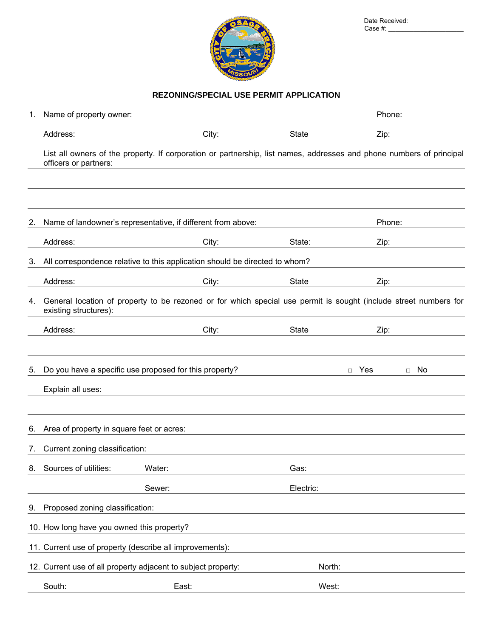

| Date Received: |  |
|----------------|--|
| Case #:        |  |

# **REZONING/SPECIAL USE PERMIT APPLICATION**

| 1.              | Name of property owner:                                  |                                                                             |              | Phone:                                                                                                               |
|-----------------|----------------------------------------------------------|-----------------------------------------------------------------------------|--------------|----------------------------------------------------------------------------------------------------------------------|
|                 | Address:                                                 | City:                                                                       | <b>State</b> | Zip:                                                                                                                 |
|                 | officers or partners:                                    |                                                                             |              | List all owners of the property. If corporation or partnership, list names, addresses and phone numbers of principal |
|                 |                                                          |                                                                             |              |                                                                                                                      |
| 2.              |                                                          | Name of landowner's representative, if different from above:                |              | Phone:                                                                                                               |
|                 | Address:                                                 | City:                                                                       | State:       | Zip:                                                                                                                 |
| 3.              |                                                          | All correspondence relative to this application should be directed to whom? |              |                                                                                                                      |
|                 | Address:                                                 | City:                                                                       | <b>State</b> | Zip:                                                                                                                 |
| 4.              | existing structures):                                    |                                                                             |              | General location of property to be rezoned or for which special use permit is sought (include street numbers for     |
|                 | Address:                                                 | City:                                                                       | <b>State</b> | Zip:                                                                                                                 |
|                 |                                                          |                                                                             |              |                                                                                                                      |
| 5.              |                                                          | Do you have a specific use proposed for this property?                      |              | Yes<br>No<br>$\Box$<br>$\Box$                                                                                        |
|                 | Explain all uses:                                        |                                                                             |              |                                                                                                                      |
|                 |                                                          |                                                                             |              |                                                                                                                      |
| 6.              | Area of property in square feet or acres:                |                                                                             |              |                                                                                                                      |
| $\mathcal{L}$ . | Current zoning classification:                           |                                                                             |              |                                                                                                                      |
|                 | 8. Sources of utilities:                                 | Water:                                                                      | Gas:         |                                                                                                                      |
|                 |                                                          | Sewer:                                                                      | Electric:    |                                                                                                                      |
| 9.              | Proposed zoning classification:                          |                                                                             |              |                                                                                                                      |
|                 | 10. How long have you owned this property?               |                                                                             |              |                                                                                                                      |
|                 | 11. Current use of property (describe all improvements): |                                                                             |              |                                                                                                                      |
|                 |                                                          | 12. Current use of all property adjacent to subject property:               | North:       |                                                                                                                      |
|                 | South:                                                   | East:                                                                       | West:        |                                                                                                                      |